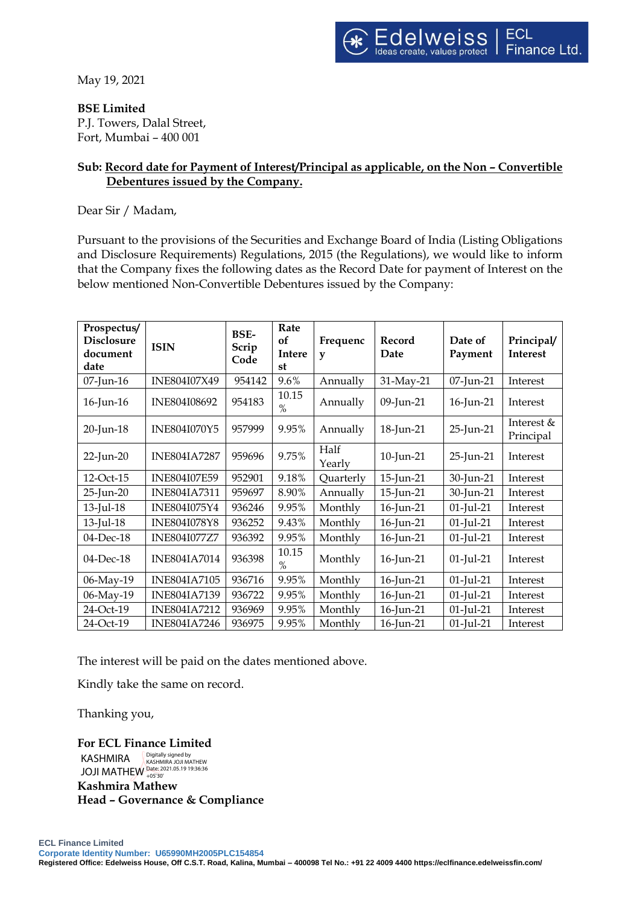May 19, 2021

**BSE Limited**

P.J. Towers, Dalal Street, Fort, Mumbai – 400 001

## **Sub: Record date for Payment of Interest/Principal as applicable, on the Non – Convertible Debentures issued by the Company.**

Dear Sir / Madam,

Pursuant to the provisions of the Securities and Exchange Board of India (Listing Obligations and Disclosure Requirements) Regulations, 2015 (the Regulations), we would like to inform that the Company fixes the following dates as the Record Date for payment of Interest on the below mentioned Non-Convertible Debentures issued by the Company:

| Prospectus/<br><b>Disclosure</b><br>document<br>date | <b>ISIN</b>         | BSE-<br>Scrip<br>Code | Rate<br>of<br><b>Intere</b><br>st | Frequenc<br>$\mathbf{v}$ | Record<br>Date | Date of<br>Payment | Principal/<br><b>Interest</b> |
|------------------------------------------------------|---------------------|-----------------------|-----------------------------------|--------------------------|----------------|--------------------|-------------------------------|
| 07-Jun-16                                            | INE804I07X49        | 954142                | 9.6%                              | Annually                 | 31-May-21      | 07-Jun-21          | Interest                      |
| 16-Jun-16                                            | INE804I08692        | 954183                | 10.15<br>$\%$                     | Annually                 | 09-Jun-21      | 16-Jun-21          | Interest                      |
| 20-Jun-18                                            | INE804I070Y5        | 957999                | 9.95%                             | Annually                 | 18-Jun-21      | 25-Jun-21          | Interest $&$<br>Principal     |
| 22-Jun-20                                            | <b>INE804IA7287</b> | 959696                | 9.75%                             | Half<br>Yearly           | 10-Jun-21      | 25-Jun-21          | Interest                      |
| 12-Oct-15                                            | <b>INE804I07E59</b> | 952901                | 9.18%                             | Quarterly                | 15-Jun-21      | 30-Jun-21          | Interest                      |
| 25-Jun-20                                            | <b>INE804IA7311</b> | 959697                | 8.90%                             | Annually                 | 15-Jun-21      | 30-Jun-21          | Interest                      |
| $13$ -Jul- $18$                                      | INE804I075Y4        | 936246                | 9.95%                             | Monthly                  | 16-Jun-21      | $01$ -Jul-21       | Interest                      |
| 13-Jul-18                                            | <b>INE804I078Y8</b> | 936252                | 9.43%                             | Monthly                  | 16-Jun-21      | $01$ -Jul-21       | Interest                      |
| 04-Dec-18                                            | <b>INE804I077Z7</b> | 936392                | 9.95%                             | Monthly                  | 16-Jun-21      | $01$ -Jul-21       | Interest                      |
| 04-Dec-18                                            | <b>INE804IA7014</b> | 936398                | 10.15<br>$\%$                     | Monthly                  | 16-Jun-21      | $01$ -Jul-21       | Interest                      |
| 06-May-19                                            | <b>INE804IA7105</b> | 936716                | 9.95%                             | Monthly                  | 16-Jun-21      | $01$ -Jul-21       | Interest                      |
| 06-May-19                                            | <b>INE804IA7139</b> | 936722                | 9.95%                             | Monthly                  | 16-Jun-21      | $01$ -Jul-21       | Interest                      |
| 24-Oct-19                                            | <b>INE804IA7212</b> | 936969                | 9.95%                             | Monthly                  | 16-Jun-21      | $01$ -Jul-21       | Interest                      |
| 24-Oct-19                                            | <b>INE804IA7246</b> | 936975                | 9.95%                             | Monthly                  | 16-Jun-21      | $01$ -Jul-21       | Interest                      |

The interest will be paid on the dates mentioned above.

Kindly take the same on record.

Thanking you,

**For ECL Finance Limited Kashmira Mathew Head – Governance & Compliance** KASHMIRA JOJI MATHEW Date: 2021.05.19 19:36:36 +05'30'Digitally signed by KASHMIRA JOJI MATHEW